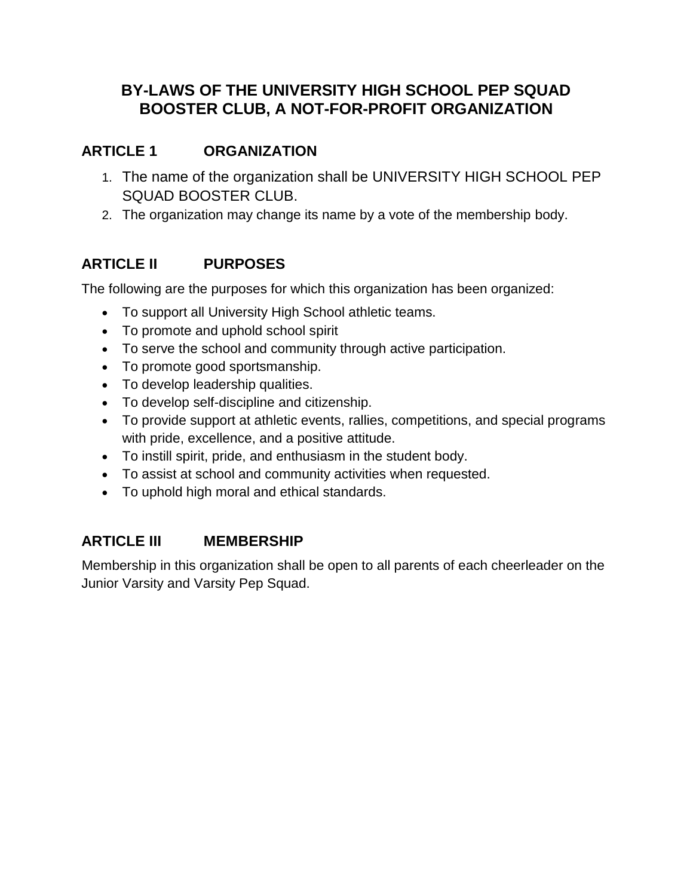# **BY-LAWS OF THE UNIVERSITY HIGH SCHOOL PEP SQUAD BOOSTER CLUB, A NOT-FOR-PROFIT ORGANIZATION**

# **ARTICLE 1 ORGANIZATION**

- 1. The name of the organization shall be UNIVERSITY HIGH SCHOOL PEP SQUAD BOOSTER CLUB.
- 2. The organization may change its name by a vote of the membership body.

# **ARTICLE II PURPOSES**

The following are the purposes for which this organization has been organized:

- To support all University High School athletic teams.
- To promote and uphold school spirit
- To serve the school and community through active participation.
- To promote good sportsmanship.
- To develop leadership qualities.
- To develop self-discipline and citizenship.
- To provide support at athletic events, rallies, competitions, and special programs with pride, excellence, and a positive attitude.
- To instill spirit, pride, and enthusiasm in the student body.
- To assist at school and community activities when requested.
- To uphold high moral and ethical standards.

### **ARTICLE III MEMBERSHIP**

Membership in this organization shall be open to all parents of each cheerleader on the Junior Varsity and Varsity Pep Squad.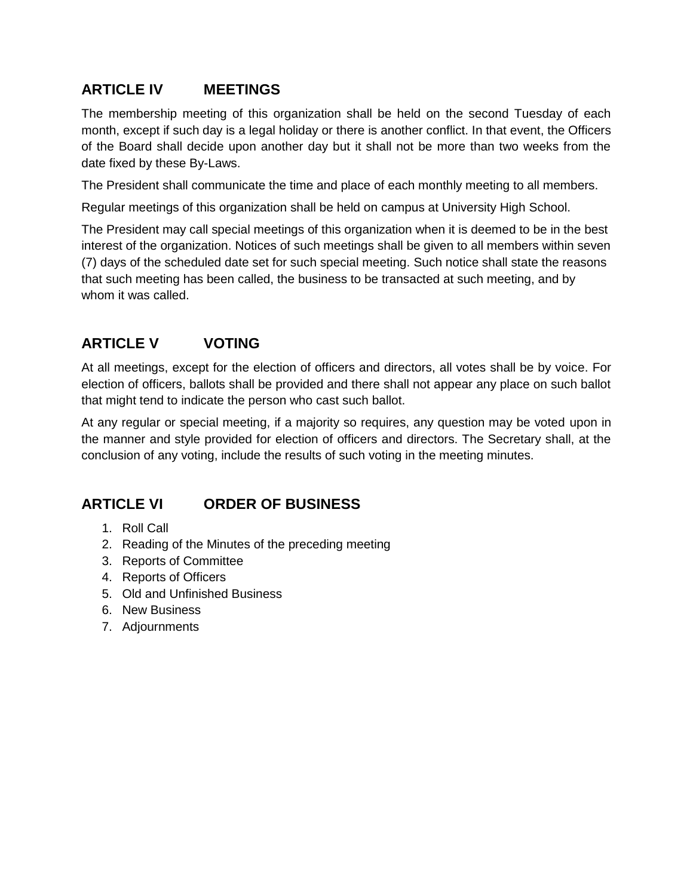## **ARTICLE IV MEETINGS**

The membership meeting of this organization shall be held on the second Tuesday of each month, except if such day is a legal holiday or there is another conflict. In that event, the Officers of the Board shall decide upon another day but it shall not be more than two weeks from the date fixed by these By-Laws.

The President shall communicate the time and place of each monthly meeting to all members.

Regular meetings of this organization shall be held on campus at University High School.

The President may call special meetings of this organization when it is deemed to be in the best interest of the organization. Notices of such meetings shall be given to all members within seven (7) days of the scheduled date set for such special meeting. Such notice shall state the reasons that such meeting has been called, the business to be transacted at such meeting, and by whom it was called.

# **ARTICLE V VOTING**

At all meetings, except for the election of officers and directors, all votes shall be by voice. For election of officers, ballots shall be provided and there shall not appear any place on such ballot that might tend to indicate the person who cast such ballot.

At any regular or special meeting, if a majority so requires, any question may be voted upon in the manner and style provided for election of officers and directors. The Secretary shall, at the conclusion of any voting, include the results of such voting in the meeting minutes.

### **ARTICLE VI ORDER OF BUSINESS**

- 1. Roll Call
- 2. Reading of the Minutes of the preceding meeting
- 3. Reports of Committee
- 4. Reports of Officers
- 5. Old and Unfinished Business
- 6. New Business
- 7. Adjournments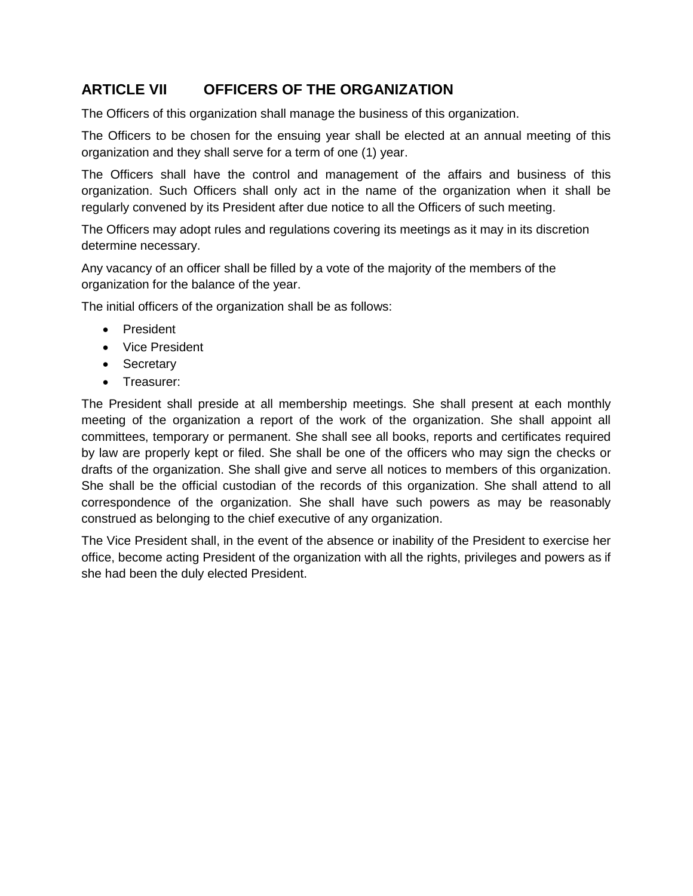## **ARTICLE VII OFFICERS OF THE ORGANIZATION**

The Officers of this organization shall manage the business of this organization.

The Officers to be chosen for the ensuing year shall be elected at an annual meeting of this organization and they shall serve for a term of one (1) year.

The Officers shall have the control and management of the affairs and business of this organization. Such Officers shall only act in the name of the organization when it shall be regularly convened by its President after due notice to all the Officers of such meeting.

The Officers may adopt rules and regulations covering its meetings as it may in its discretion determine necessary.

Any vacancy of an officer shall be filled by a vote of the majority of the members of the organization for the balance of the year.

The initial officers of the organization shall be as follows:

- President
- Vice President
- Secretary
- Treasurer:

The President shall preside at all membership meetings. She shall present at each monthly meeting of the organization a report of the work of the organization. She shall appoint all committees, temporary or permanent. She shall see all books, reports and certificates required by law are properly kept or filed. She shall be one of the officers who may sign the checks or drafts of the organization. She shall give and serve all notices to members of this organization. She shall be the official custodian of the records of this organization. She shall attend to all correspondence of the organization. She shall have such powers as may be reasonably construed as belonging to the chief executive of any organization.

The Vice President shall, in the event of the absence or inability of the President to exercise her office, become acting President of the organization with all the rights, privileges and powers as if she had been the duly elected President.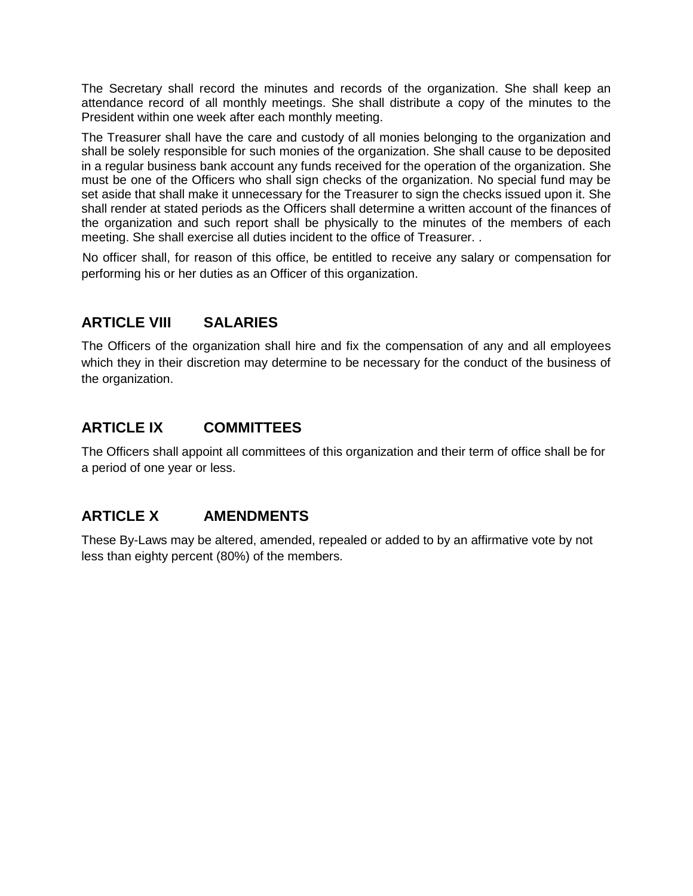The Secretary shall record the minutes and records of the organization. She shall keep an attendance record of all monthly meetings. She shall distribute a copy of the minutes to the President within one week after each monthly meeting.

The Treasurer shall have the care and custody of all monies belonging to the organization and shall be solely responsible for such monies of the organization. She shall cause to be deposited in a regular business bank account any funds received for the operation of the organization. She must be one of the Officers who shall sign checks of the organization. No special fund may be set aside that shall make it unnecessary for the Treasurer to sign the checks issued upon it. She shall render at stated periods as the Officers shall determine a written account of the finances of the organization and such report shall be physically to the minutes of the members of each meeting. She shall exercise all duties incident to the office of Treasurer. .

No officer shall, for reason of this office, be entitled to receive any salary or compensation for performing his or her duties as an Officer of this organization.

### **ARTICLE VIII SALARIES**

The Officers of the organization shall hire and fix the compensation of any and all employees which they in their discretion may determine to be necessary for the conduct of the business of the organization.

### **ARTICLE IX COMMITTEES**

The Officers shall appoint all committees of this organization and their term of office shall be for a period of one year or less.

# **ARTICLE X AMENDMENTS**

These By-Laws may be altered, amended, repealed or added to by an affirmative vote by not less than eighty percent (80%) of the members.